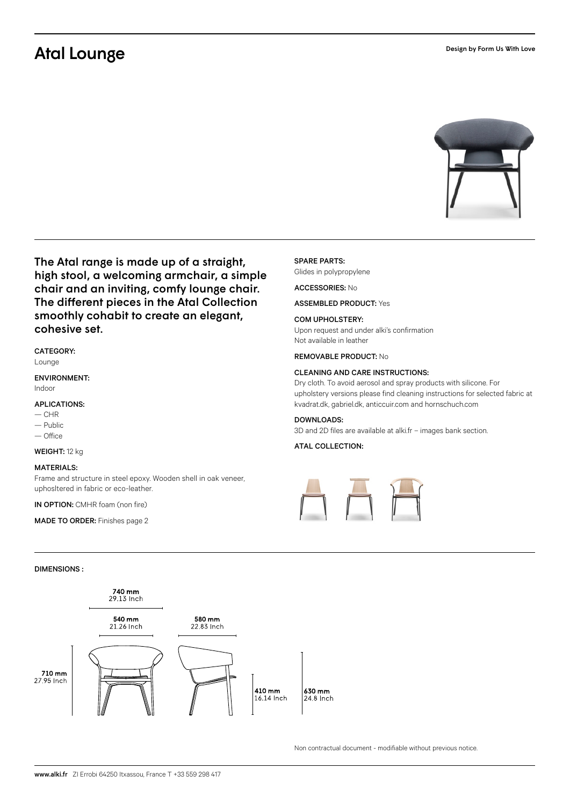# Atal Lounge



The Atal range is made up of a straight, high stool, a welcoming armchair, a simple chair and an inviting, comfy lounge chair. The different pieces in the Atal Collection smoothly cohabit to create an elegant, cohesive set.

### CATEGORY:

Lounge

### ENVIRONMENT:

Indoor

#### APLICATIONS:

- $-CHR$
- Public
- Office

# WEIGHT: 12 kg

#### MATERIALS:

Frame and structure in steel epoxy. Wooden shell in oak veneer, uphosltered in fabric or eco-leather.

IN OPTION: CMHR foam (non fire)

MADE TO ORDER: Finishes page 2

#### SPARE PARTS:

Glides in polypropylene

#### ACCESSORIES: No

ASSEMBLED PRODUCT: Yes

#### COM UPHOLSTERY:

Upon request and under alki's confirmation Not available in leather

REMOVABLE PRODUCT: No

#### CLEANING AND CARE INSTRUCTIONS:

Dry cloth. To avoid aerosol and spray products with silicone. For upholstery versions please find cleaning instructions for selected fabric at kvadrat.dk, gabriel.dk, anticcuir.com and hornschuch.com

#### DOWNLOADS:

3D and 2D files are available at alki.fr – images bank section.

#### ATAL COLLECTION:



#### DIMENSIONS :



Non contractual document - modifiable without previous notice.